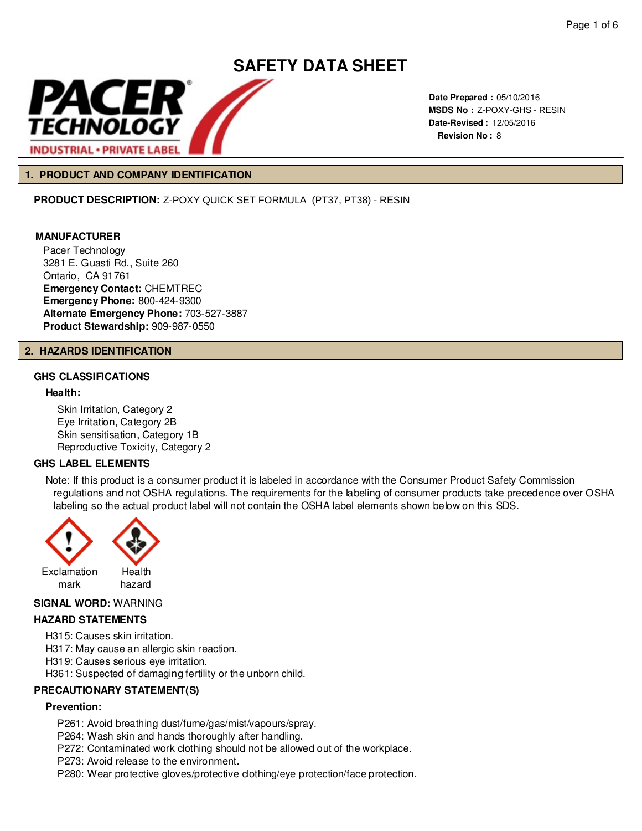

**Date Prepared :** 05/10/2016 **MSDS No :**  Z-POXY-GHS - RESIN **Date-Revised :** 12/05/2016 **Revision No :** 8

# **1. PRODUCT AND COMPANY IDENTIFICATION**

**PRODUCT DESCRIPTION:** Z-POXY QUICK SET FORMULA (PT37, PT38) - RESIN

# **MANUFACTURER**

Pacer Technology 3281 E. Guasti Rd., Suite 260 Ontario, CA 91761 **Emergency Contact:** CHEMTREC **Emergency Phone:** 800-424-9300 **Alternate Emergency Phone:** 703-527-3887 **Product Stewardship:** 909-987-0550

#### **2. HAZARDS IDENTIFICATION**

# **GHS CLASSIFICATIONS**

#### **Health:**

Skin Irritation, Category 2 Eye Irritation, Category 2B Skin sensitisation, Category 1B Reproductive Toxicity, Category 2

# **GHS LABEL ELEMENTS**

Note: If this product is a consumer product it is labeled in accordance with the Consumer Product Safety Commission regulations and not OSHA regulations. The requirements for the labeling of consumer products take precedence over OSHA labeling so the actual product label will not contain the OSHA label elements shown below on this SDS.



#### **SIGNAL WORD:** WARNING

# **HAZARD STATEMENTS**

H315: Causes skin irritation.

H317: May cause an allergic skin reaction.

H319: Causes serious eye irritation.

H361: Suspected of damaging fertility or the unborn child.

# **PRECAUTIONARY STATEMENT(S)**

#### **Prevention:**

P261: Avoid breathing dust/fume/gas/mist/vapours/spray.

P264: Wash skin and hands thoroughly after handling.

P272: Contaminated work clothing should not be allowed out of the workplace.

- P273: Avoid release to the environment.
- P280: Wear protective gloves/protective clothing/eye protection/face protection.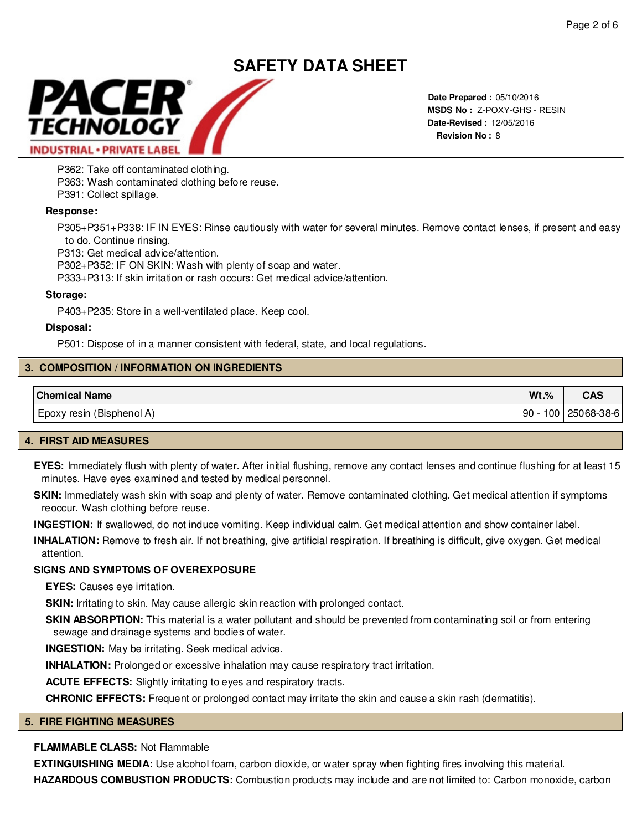

**Date Prepared :** 05/10/2016 **MSDS No :**  Z-POXY-GHS - RESIN**Date-Revised :** 12/05/2016 **Revision No :** 8

P362: Take off contaminated clothing.

P363: Wash contaminated clothing before reuse.

P391: Collect spillage.

# **Response:**

P305+P351+P338: IF IN EYES: Rinse cautiously with water for several minutes. Remove contact lenses, if present and easy to do. Continue rinsing.

P313: Get medical advice/attention.

P302+P352: IF ON SKIN: Wash with plenty of soap and water.

P333+P313: If skin irritation or rash occurs: Get medical advice/attention.

# **Storage:**

P403+P235: Store in a well-ventilated place. Keep cool.

# **Disposal:**

P501: Dispose of in a manner consistent with federal, state, and local regulations.

# **3. COMPOSITION / INFORMATION ON INGREDIENTS**

| <b>Chemical Name</b>      | $Wt.$ %   | rnc<br>unu |
|---------------------------|-----------|------------|
| Epoxy resin (Bisphenol A) | 100<br>90 | 25068-38-6 |

# **4. FIRST AID MEASURES**

**EYES:** Immediately flush with plenty of water. After initial flushing, remove any contact lenses and continue flushing for at least 15 minutes. Have eyes examined and tested by medical personnel.

SKIN: Immediately wash skin with soap and plenty of water. Remove contaminated clothing. Get medical attention if symptoms reoccur. Wash clothing before reuse.

**INGESTION:** If swallowed, do not induce vomiting. Keep individual calm. Get medical attention and show container label.

**INHALATION:** Remove to fresh air. If not breathing, give artificial respiration. If breathing is difficult, give oxygen. Get medical attention.

# **SIGNS AND SYMPTOMS OF OVEREXPOSURE**

**EYES:** Causes eye irritation.

**SKIN:** Irritating to skin. May cause allergic skin reaction with prolonged contact.

**SKIN ABSORPTION:** This material is a water pollutant and should be prevented from contaminating soil or from entering sewage and drainage systems and bodies of water.

**INGESTION:** May be irritating. Seek medical advice.

**INHALATION:** Prolonged or excessive inhalation may cause respiratory tract irritation.

**ACUTE EFFECTS:** Slightly irritating to eyes and respiratory tracts.

**CHRONIC EFFECTS:** Frequent or prolonged contact may irritate the skin and cause a skin rash (dermatitis).

# **5. FIRE FIGHTING MEASURES**

# **FLAMMABLE CLASS:** Not Flammable

**EXTINGUISHING MEDIA:** Use alcohol foam, carbon dioxide, or water spray when fighting fires involving this material.

**HAZARDOUS COMBUSTION PRODUCTS:** Combustion products may include and are not limited to: Carbon monoxide, carbon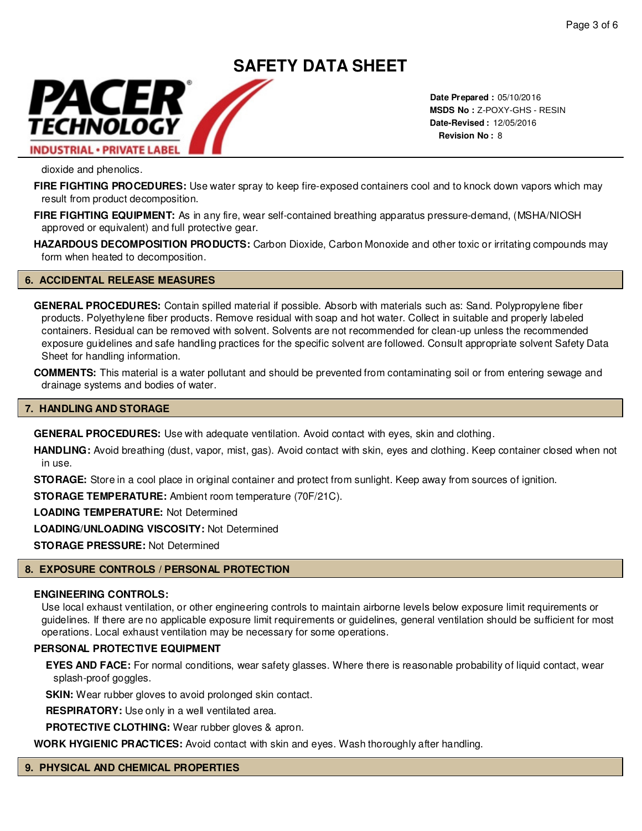# **SAFETY DATA SHEET** PACER TECHNOLOGY **INDUSTRIAL · PRIVATE LABEL**

**Date Prepared :** 05/10/2016 **MSDS No :**  Z-POXY-GHS - RESIN**Date-Revised :** 12/05/2016 **Revision No :** 8

dioxide and phenolics.

**FIRE FIGHTING PROCEDURES:** Use water spray to keep fire-exposed containers cool and to knock down vapors which may result from product decomposition.

**FIRE FIGHTING EQUIPMENT:** As in any fire, wear self-contained breathing apparatus pressure-demand, (MSHA/NIOSH approved or equivalent) and full protective gear.

**HAZARDOUS DECOMPOSITION PRODUCTS:** Carbon Dioxide, Carbon Monoxide and other toxic or irritating compounds may form when heated to decomposition.

# **6. ACCIDENTAL RELEASE MEASURES**

**GENERAL PROCEDURES:** Contain spilled material if possible. Absorb with materials such as: Sand. Polypropylene fiber products. Polyethylene fiber products. Remove residual with soap and hot water. Collect in suitable and properly labeled containers. Residual can be removed with solvent. Solvents are not recommended for clean-up unless the recommended exposure guidelines and safe handling practices for the specific solvent are followed. Consult appropriate solvent Safety Data Sheet for handling information.

**COMMENTS:** This material is a water pollutant and should be prevented from contaminating soil or from entering sewage and drainage systems and bodies of water.

#### **7. HANDLING AND STORAGE**

**GENERAL PROCEDURES:** Use with adequate ventilation. Avoid contact with eyes, skin and clothing.

**HANDLING:** Avoid breathing (dust, vapor, mist, gas). Avoid contact with skin, eyes and clothing. Keep container closed when not in use.

**STORAGE:** Store in a cool place in original container and protect from sunlight. Keep away from sources of ignition.

**STORAGE TEMPERATURE:** Ambient room temperature (70F/21C).

**LOADING TEMPERATURE:** Not Determined

**LOADING/UNLOADING VISCOSITY:** Not Determined

**STORAGE PRESSURE:** Not Determined

# **8. EXPOSURE CONTROLS / PERSONAL PROTECTION**

#### **ENGINEERING CONTROLS:**

Use local exhaust ventilation, or other engineering controls to maintain airborne levels below exposure limit requirements or guidelines. If there are no applicable exposure limit requirements or guidelines, general ventilation should be sufficient for most operations. Local exhaust ventilation may be necessary for some operations.

#### **PERSONAL PROTECTIVE EQUIPMENT**

**EYES AND FACE:** For normal conditions, wear safety glasses. Where there is reasonable probability of liquid contact, wear splash-proof goggles.

**SKIN:** Wear rubber gloves to avoid prolonged skin contact.

**RESPIRATORY:** Use only in a well ventilated area.

**PROTECTIVE CLOTHING:** Wear rubber gloves & apron.

**WORK HYGIENIC PRACTICES:** Avoid contact with skin and eyes. Wash thoroughly after handling.

# **9. PHYSICAL AND CHEMICAL PROPERTIES**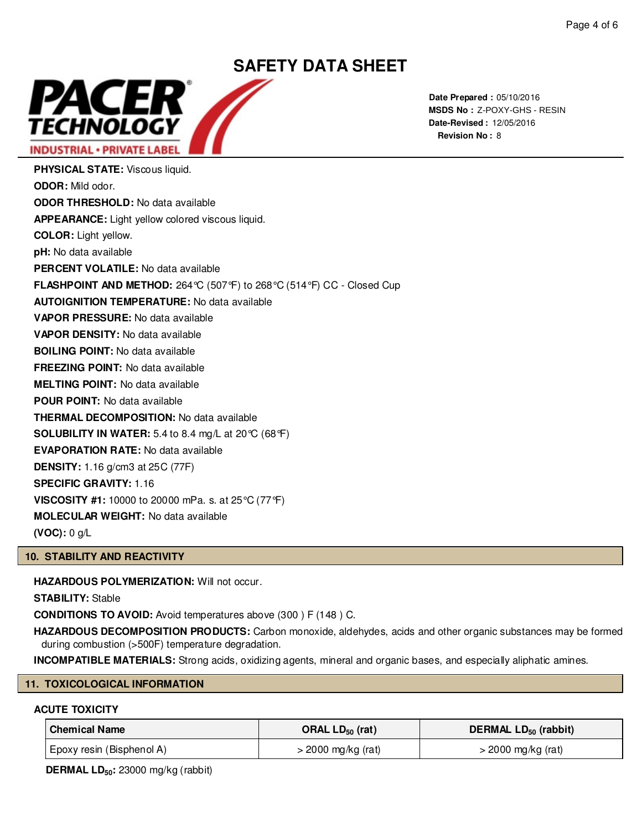

**Date Prepared :** 05/10/2016 **MSDS No :**  Z-POXY-GHS - RESIN**Date-Revised :** 12/05/2016 **Revision No :** 8

**PHYSICAL STATE:** Viscous liquid. **ODOR:** Mild odor. **ODOR THRESHOLD:** No data available **APPEARANCE:** Light yellow colored viscous liquid. **COLOR:** Light yellow. **pH:** No data available **PERCENT VOLATILE:** No data available **FLASHPOINT AND METHOD:** 264°C (507°F) to 268°C (514°F) CC - Closed Cup **AUTOIGNITION TEMPERATURE:** No data available **VAPOR PRESSURE:** No data available **VAPOR DENSITY:** No data available **BOILING POINT:** No data available **FREEZING POINT:** No data available **MELTING POINT:** No data available **POUR POINT:** No data available **THERMAL DECOMPOSITION:** No data available **SOLUBILITY IN WATER:** 5.4 to 8.4 mg/L at 20°C (68°F) **EVAPORATION RATE:** No data available **DENSITY:** 1.16 g/cm3 at 25C (77F) **SPECIFIC GRAVITY:** 1.16 **VISCOSITY #1:** 10000 to 20000 mPa. s. at 25°C (77°F) **MOLECULAR WEIGHT:** No data available

**(VOC):** 0 g/L

# **10. STABILITY AND REACTIVITY**

**HAZARDOUS POLYMERIZATION:** Will not occur.

**STABILITY:** Stable

**CONDITIONS TO AVOID:** Avoid temperatures above (300 ) F (148 ) C.

**HAZARDOUS DECOMPOSITION PRODUCTS:** Carbon monoxide, aldehydes, acids and other organic substances may be formed during combustion (>500F) temperature degradation.

**INCOMPATIBLE MATERIALS:** Strong acids, oxidizing agents, mineral and organic bases, and especially aliphatic amines.

# **11. TOXICOLOGICAL INFORMATION**

# **ACUTE TOXICITY**

| <b>Chemical Name</b>      | ORAL $LD_{50}$ (rat) | DERMAL LD <sub>50</sub> (rabbit) |
|---------------------------|----------------------|----------------------------------|
| Epoxy resin (Bisphenol A) | $>$ 2000 mg/kg (rat) | $>$ 2000 mg/kg (rat)             |

**DERMAL LD50:** 23000 mg/kg (rabbit)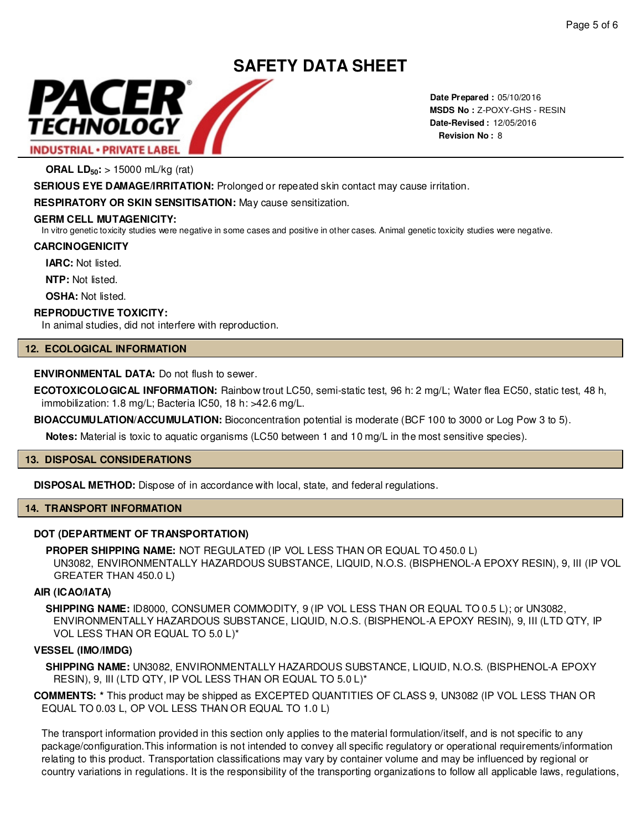

**Date Prepared :** 05/10/2016 **MSDS No : Z-POXY-GHS - RESIN Date-Revised :** 12/05/2016 **Revision No :** 8

**ORAL LD50:** > 15000 mL/kg (rat)

**SERIOUS EYE DAMAGE/IRRITATION:** Prolonged or repeated skin contact may cause irritation.

**RESPIRATORY OR SKIN SENSITISATION:** May cause sensitization.

# **GERM CELL MUTAGENICITY:**

In vitro genetic toxicity studies were negative in some cases and positive in other cases. Animal genetic toxicity studies were negative.

#### **CARCINOGENICITY**

**IARC:** Not listed.

**NTP:** Not listed.

**OSHA: Not listed.** 

# **REPRODUCTIVE TOXICITY:**

In animal studies, did not interfere with reproduction.

# **12. ECOLOGICAL INFORMATION**

# **ENVIRONMENTAL DATA:** Do not flush to sewer.

**ECOTOXICOLOGICAL INFORMATION:** Rainbow trout LC50, semi-static test, 96 h: 2 mg/L; Water flea EC50, static test, 48 h, immobilization: 1.8 mg/L; Bacteria IC50, 18 h: >42.6 mg/L.

**BIOACCUMULATION/ACCUMULATION:** Bioconcentration potential is moderate (BCF 100 to 3000 or Log Pow 3 to 5).

**Notes:** Material is toxic to aquatic organisms (LC50 between 1 and 10 mg/L in the most sensitive species).

# **13. DISPOSAL CONSIDERATIONS**

**DISPOSAL METHOD:** Dispose of in accordance with local, state, and federal regulations.

# **14. TRANSPORT INFORMATION**

# **DOT (DEPARTMENT OF TRANSPORTATION)**

**PROPER SHIPPING NAME:** NOT REGULATED (IP VOL LESS THAN OR EQUAL TO 450.0 L) UN3082, ENVIRONMENTALLY HAZARDOUS SUBSTANCE, LIQUID, N.O.S. (BISPHENOL-A EPOXY RESIN), 9, III (IP VOL **GENIAL - PRIVATE LABEL**<br>
MESS No : 2-POXY-GHS<br> **RAL LD<sub>50</sub>: > 15000 mL/kg (ra)<br>
RAL LD<sub>50</sub>: > 15000 mL/kg (ra)<br>
DNR-RYL DAMGENIRHTATION: Prolonged or repeated skin contact may cause irritation.<br>
MICHLL MITAGENICITY:<br>
MC L** 

# **AIR (ICAO/IATA)**

**SHIPPING NAME:** ID8000, CONSUMER COMMODITY, 9 (IP VOL LESS THAN OR EQUAL TO 0.5 L); or UN3082, ENVIRONMENTALLY HAZARDOUS SUBSTANCE, LIQUID, N.O.S. (BISPHENOL-A EPOXY RESIN), 9, III (LTD QTY, IP VOL LESS THAN OR EQUAL TO 5.0 L)\*

# **VESSEL (IMO/IMDG)**

**SHIPPING NAME:** UN3082, ENVIRONMENTALLY HAZARDOUS SUBSTANCE, LIQUID, N.O.S. (BISPHENOL-A EPOXY RESIN), 9, III (LTD QTY, IP VOL LESS THAN OR EQUAL TO 5.0 L)\*

**COMMENTS: \*** This product may be shipped as EXCEPTED QUANTITIES OF CLASS 9, UN3082 (IP VOL LESS THAN OR EQUAL TO 0.03 L, OP VOL LESS THAN OR EQUAL TO 1.0 L)

The transport information provided in this section only applies to the material formulation/itself, and is not specific to any package/configuration.This information is not intended to convey all specific regulatory or operational requirements/information relating to this product. Transportation classifications may vary by container volume and may be influenced by regional or country variations in regulations. It is the responsibility of the transporting organizations to follow all applicable laws, regulations,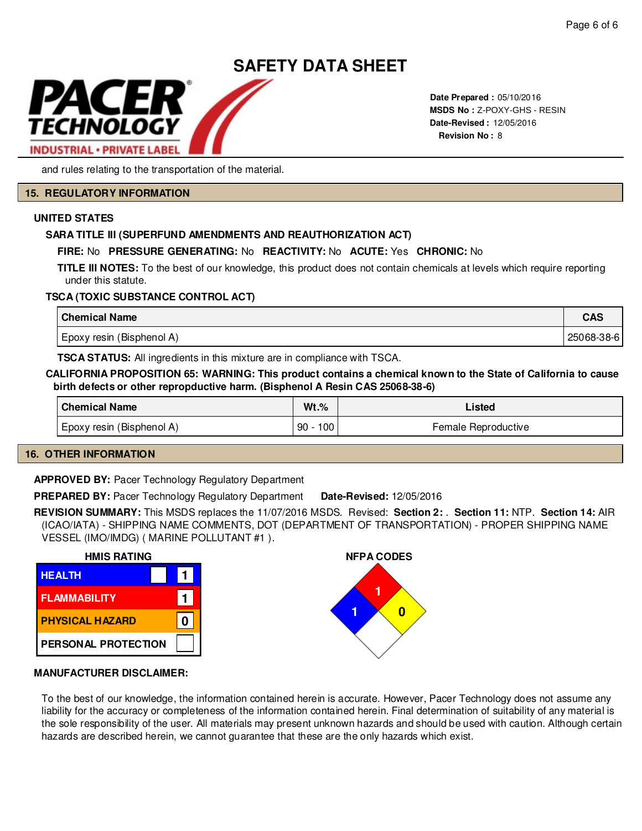

**Date Prepared :** 05/10/2016 **MSDS No :**  Z-POXY-GHS - RESIN**Date-Revised :** 12/05/2016 **Revision No :** 8

and rules relating to the transportation of the material.

#### **15. REGULATORY INFORMATION**

# **UNITED STATES**

# **SARA TITLE III (SUPERFUND AMENDMENTS AND REAUTHORIZATION ACT)**

# **FIRE:** No **PRESSURE GENERATING:** No **REACTIVITY:** No **ACUTE:** Yes **CHRONIC:** No

**TITLE III NOTES:** To the best of our knowledge, this product does not contain chemicals at levels which require reporting under this statute.

# **TSCA (TOXIC SUBSTANCE CONTROL ACT)**

| <b>Chemical Name</b>      | <b>CAS</b> |
|---------------------------|------------|
| Epoxy resin (Bisphenol A) | 25068-38-6 |

**TSCA STATUS:** All ingredients in this mixture are in compliance with TSCA.

#### **CALIFORNIA PROPOSITION 65: WARNING: This product contains a chemical known to the State of California to cause birth defects or other repropductive harm. (Bisphenol A Resin CAS 25068-38-6)**

| <b>Chemical Name</b>      | $Wt.\%$   | Listed              |
|---------------------------|-----------|---------------------|
| Epoxy resin (Bisphenol A) | 100<br>90 | Female Reproductive |

# **16. OTHER INFORMATION**

**APPROVED BY:** Pacer Technology Regulatory Department

**PREPARED BY:** Pacer Technology Regulatory Department **Date-Revised:** 12/05/2016

**REVISION SUMMARY:** This MSDS replaces the 11/07/2016 MSDS. Revised: **Section 2:** . **Section 11:** NTP. **Section 14:** AIR (ICAO/IATA) - SHIPPING NAME COMMENTS, DOT (DEPARTMENT OF TRANSPORTATION) - PROPER SHIPPING NAME VESSEL (IMO/IMDG) ( MARINE POLLUTANT #1 ).





# **MANUFACTURER DISCLAIMER:**

To the best of our knowledge, the information contained herein is accurate. However, Pacer Technology does not assume any liability for the accuracy or completeness of the information contained herein. Final determination of suitability of any material is the sole responsibility of the user. All materials may present unknown hazards and should be used with caution. Although certain hazards are described herein, we cannot guarantee that these are the only hazards which exist.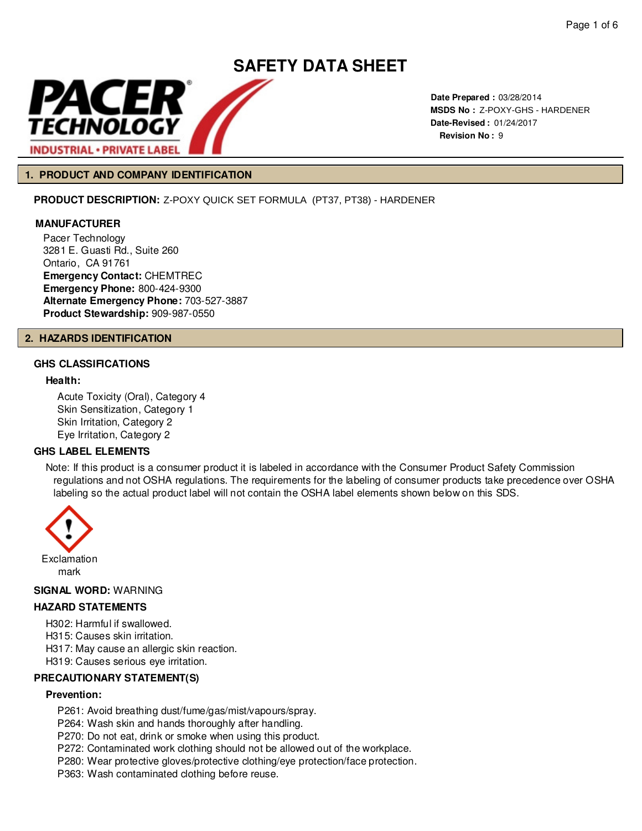

**Date Prepared :** 03/28/2014 **MSDS No :**  Z-POXY-GHS - HARDENER **Date-Revised :** 01/24/2017 **Revision No :** 9

# **1. PRODUCT AND COMPANY IDENTIFICATION**

**PRODUCT DESCRIPTION:** Z-POXY QUICK SET FORMULA (PT37, PT38) - HARDENER

# **MANUFACTURER**

Pacer Technology 3281 E. Guasti Rd., Suite 260 Ontario, CA 91761 **Emergency Contact:** CHEMTREC **Emergency Phone:** 800-424-9300 **Alternate Emergency Phone:** 703-527-3887 **Product Stewardship:** 909-987-0550

#### **2. HAZARDS IDENTIFICATION**

# **GHS CLASSIFICATIONS**

# **Health:**

Acute Toxicity (Oral), Category 4 Skin Sensitization, Category 1 Skin Irritation, Category 2 Eye Irritation, Category 2

# **GHS LABEL ELEMENTS**

Note: If this product is a consumer product it is labeled in accordance with the Consumer Product Safety Commission regulations and not OSHA regulations. The requirements for the labeling of consumer products take precedence over OSHA labeling so the actual product label will not contain the OSHA label elements shown below on this SDS.



#### **SIGNAL WORD:** WARNING

# **HAZARD STATEMENTS**

H302: Harmful if swallowed.

H315: Causes skin irritation.

H317: May cause an allergic skin reaction.

H319: Causes serious eye irritation.

# **PRECAUTIONARY STATEMENT(S)**

# **Prevention:**

P261: Avoid breathing dust/fume/gas/mist/vapours/spray.

P264: Wash skin and hands thoroughly after handling.

P270: Do not eat, drink or smoke when using this product.

P272: Contaminated work clothing should not be allowed out of the workplace.

P280: Wear protective gloves/protective clothing/eye protection/face protection.

P363: Wash contaminated clothing before reuse.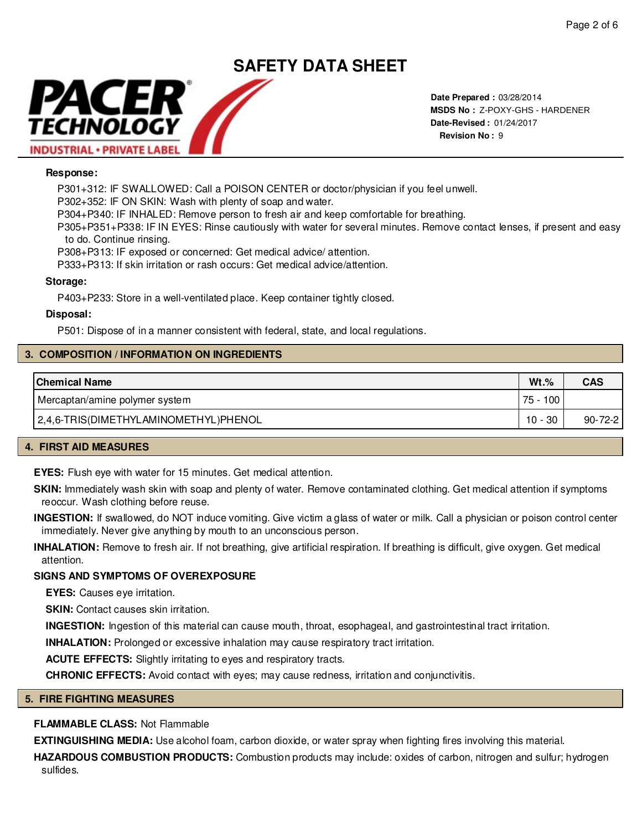# **SAFETY DATA SHEET** PACER TECHNOLOGY

**Date Prepared :** 03/28/2014 **MSDS No :**  Z-POXY-GHS - HARDENER**Date-Revised :** 01/24/2017 **Revision No :** 9

# **Response:**

**INDUSTRIAL · PRIVATE LABEL** 

P301+312: IF SWALLOWED: Call a POISON CENTER or doctor/physician if you feel unwell.

P302+352: IF ON SKIN: Wash with plenty of soap and water.

P304+P340: IF INHALED: Remove person to fresh air and keep comfortable for breathing.

P305+P351+P338: IF IN EYES: Rinse cautiously with water for several minutes. Remove contact lenses, if present and easy to do. Continue rinsing.

P308+P313: IF exposed or concerned: Get medical advice/ attention.

P333+P313: If skin irritation or rash occurs: Get medical advice/attention.

#### **Storage:**

P403+P233: Store in a well-ventilated place. Keep container tightly closed.

#### **Disposal:**

P501: Dispose of in a manner consistent with federal, state, and local regulations.

# **3. COMPOSITION / INFORMATION ON INGREDIENTS**

| <b>Chemical Name</b>                  | $Wt.\%$        | <b>CAS</b>    |
|---------------------------------------|----------------|---------------|
| Mercaptan/amine polymer system        | 75 -<br>100    |               |
| 2,4,6-TRIS(DIMETHYLAMINOMETHYL)PHENOL | - 30<br>$10 -$ | $90 - 72 - 2$ |

# **4. FIRST AID MEASURES**

**EYES:** Flush eye with water for 15 minutes. Get medical attention.

**SKIN:** Immediately wash skin with soap and plenty of water. Remove contaminated clothing. Get medical attention if symptoms reoccur. Wash clothing before reuse.

**INGESTION:** If swallowed, do NOT induce vomiting. Give victim a glass of water or milk. Call a physician or poison control center immediately. Never give anything by mouth to an unconscious person.

**INHALATION:** Remove to fresh air. If not breathing, give artificial respiration. If breathing is difficult, give oxygen. Get medical attention.

# **SIGNS AND SYMPTOMS OF OVEREXPOSURE**

**EYES:** Causes eye irritation.

**SKIN:** Contact causes skin irritation.

**INGESTION:** Ingestion of this material can cause mouth, throat, esophageal, and gastrointestinal tract irritation.

**INHALATION:** Prolonged or excessive inhalation may cause respiratory tract irritation.

**ACUTE EFFECTS:** Slightly irritating to eyes and respiratory tracts.

**CHRONIC EFFECTS:** Avoid contact with eyes; may cause redness, irritation and conjunctivitis.

#### **5. FIRE FIGHTING MEASURES**

# **FLAMMABLE CLASS:** Not Flammable

**EXTINGUISHING MEDIA:** Use alcohol foam, carbon dioxide, or water spray when fighting fires involving this material.

**HAZARDOUS COMBUSTION PRODUCTS:** Combustion products may include: oxides of carbon, nitrogen and sulfur; hydrogen sulfides.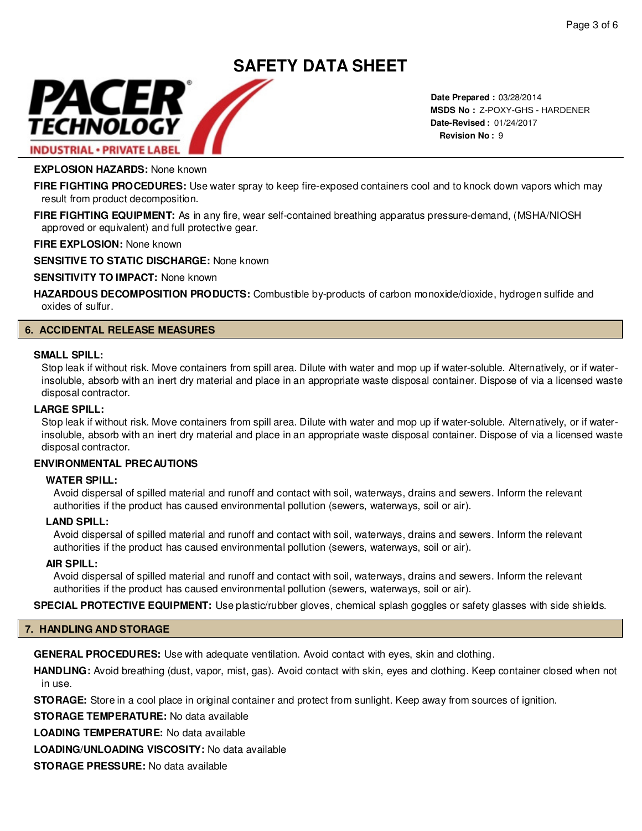# PACER TECHNOLOGY **INDUSTRIAL · PRIVATE LABEL**

**Date Prepared :** 03/28/2014 **MSDS No :**  Z-POXY-GHS - HARDENER**Date-Revised :** 01/24/2017 **Revision No :** 9

# **EXPLOSION HAZARDS:** None known

**FIRE FIGHTING PROCEDURES:** Use water spray to keep fire-exposed containers cool and to knock down vapors which may result from product decomposition.

**SAFETY DATA SHEET**

**FIRE FIGHTING EQUIPMENT:** As in any fire, wear self-contained breathing apparatus pressure-demand, (MSHA/NIOSH approved or equivalent) and full protective gear.

**FIRE EXPLOSION:** None known

**SENSITIVE TO STATIC DISCHARGE:** None known

**SENSITIVITY TO IMPACT:** None known

**HAZARDOUS DECOMPOSITION PRODUCTS:** Combustible by-products of carbon monoxide/dioxide, hydrogen sulfide and oxides of sulfur.

# **6. ACCIDENTAL RELEASE MEASURES**

#### **SMALL SPILL:**

Stop leak if without risk. Move containers from spill area. Dilute with water and mop up if water-soluble. Alternatively, or if waterinsoluble, absorb with an inert dry material and place in an appropriate waste disposal container. Dispose of via a licensed waste disposal contractor.

# **LARGE SPILL:**

Stop leak if without risk. Move containers from spill area. Dilute with water and mop up if water-soluble. Alternatively, or if waterinsoluble, absorb with an inert dry material and place in an appropriate waste disposal container. Dispose of via a licensed waste disposal contractor.

# **ENVIRONMENTAL PRECAUTIONS**

#### **WATER SPILL:**

Avoid dispersal of spilled material and runoff and contact with soil, waterways, drains and sewers. Inform the relevant authorities if the product has caused environmental pollution (sewers, waterways, soil or air).

#### **LAND SPILL:**

Avoid dispersal of spilled material and runoff and contact with soil, waterways, drains and sewers. Inform the relevant authorities if the product has caused environmental pollution (sewers, waterways, soil or air).

#### **AIR SPILL:**

Avoid dispersal of spilled material and runoff and contact with soil, waterways, drains and sewers. Inform the relevant authorities if the product has caused environmental pollution (sewers, waterways, soil or air).

**SPECIAL PROTECTIVE EQUIPMENT:** Use plastic/rubber gloves, chemical splash goggles or safety glasses with side shields.

# **7. HANDLING AND STORAGE**

**GENERAL PROCEDURES:** Use with adequate ventilation. Avoid contact with eyes, skin and clothing.

**HANDLING:** Avoid breathing (dust, vapor, mist, gas). Avoid contact with skin, eyes and clothing. Keep container closed when not in use.

**STORAGE:** Store in a cool place in original container and protect from sunlight. Keep away from sources of ignition.

**STORAGE TEMPERATURE:** No data available

**LOADING TEMPERATURE:** No data available

**LOADING/UNLOADING VISCOSITY:** No data available

**STORAGE PRESSURE:** No data available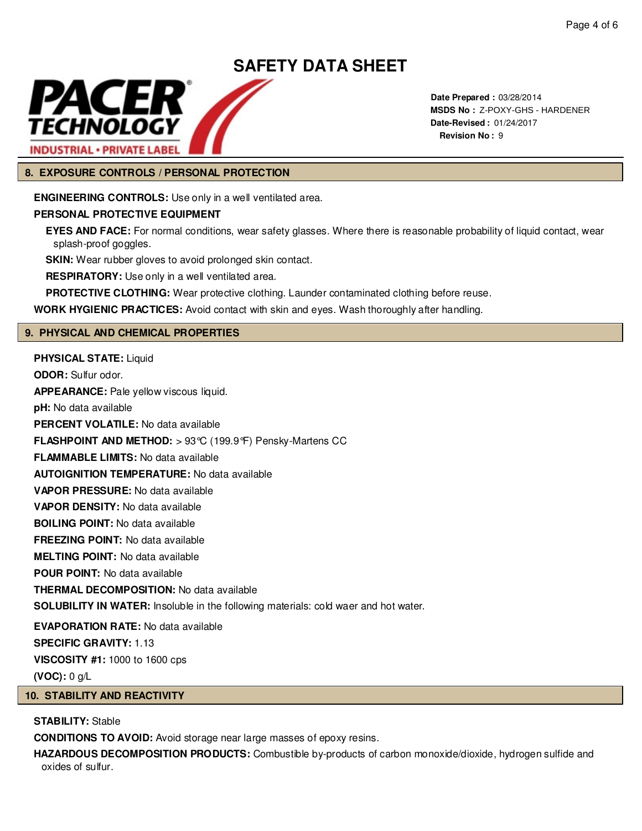

**Date Prepared :** 03/28/2014 **MSDS No :**  Z-POXY-GHS - HARDENER**Date-Revised :** 01/24/2017 **Revision No :** 9

# **8. EXPOSURE CONTROLS / PERSONAL PROTECTION**

**ENGINEERING CONTROLS:** Use only in a well ventilated area.

# **PERSONAL PROTECTIVE EQUIPMENT**

**EYES AND FACE:** For normal conditions, wear safety glasses. Where there is reasonable probability of liquid contact, wear splash-proof goggles.

**SKIN:** Wear rubber gloves to avoid prolonged skin contact.

**RESPIRATORY:** Use only in a well ventilated area.

**PROTECTIVE CLOTHING:** Wear protective clothing. Launder contaminated clothing before reuse.

**WORK HYGIENIC PRACTICES:** Avoid contact with skin and eyes. Wash thoroughly after handling.

# **9. PHYSICAL AND CHEMICAL PROPERTIES**

**PHYSICAL STATE:** Liquid **ODOR:** Sulfur odor. **APPEARANCE:** Pale yellow viscous liquid. **pH:** No data available **PERCENT VOLATILE:** No data available **FLASHPOINT AND METHOD:** > 93°C (199.9°F) Pensky-Martens CC **FLAMMABLE LIMITS:** No data available **AUTOIGNITION TEMPERATURE:** No data available **VAPOR PRESSURE:** No data available **VAPOR DENSITY:** No data available **BOILING POINT:** No data available **FREEZING POINT:** No data available **MELTING POINT:** No data available **POUR POINT:** No data available **THERMAL DECOMPOSITION:** No data available **SOLUBILITY IN WATER:** Insoluble in the following materials: cold waer and hot water. **EVAPORATION RATE:** No data available **SPECIFIC GRAVITY:** 1.13 **VISCOSITY #1:** 1000 to 1600 cps **(VOC):** 0 g/L

# **10. STABILITY AND REACTIVITY**

# **STABILITY:** Stable

**CONDITIONS TO AVOID:** Avoid storage near large masses of epoxy resins.

**HAZARDOUS DECOMPOSITION PRODUCTS:** Combustible by-products of carbon monoxide/dioxide, hydrogen sulfide and oxides of sulfur.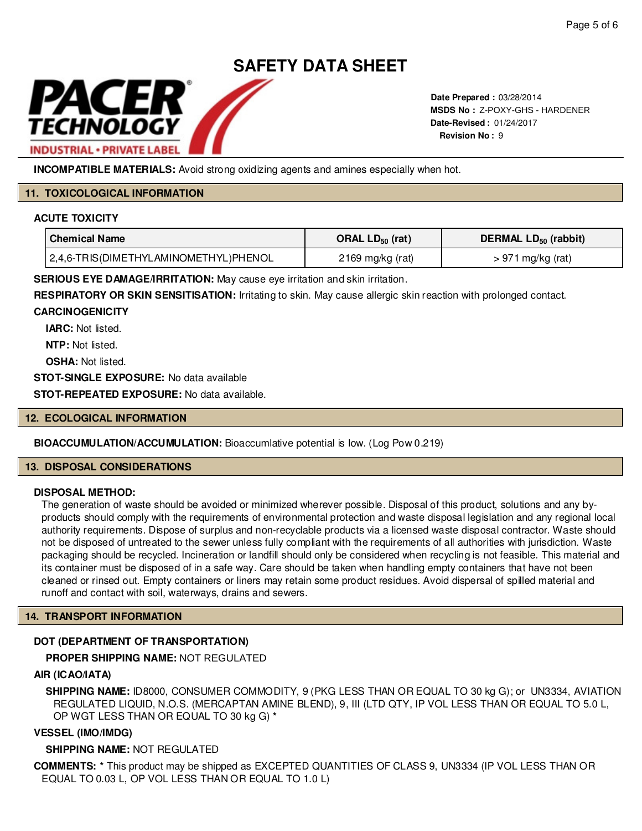

**Date Prepared :** 03/28/2014 **MSDS No : Z-POXY-GHS - HARDENER Date-Revised :** 01/24/2017 **Revision No :** 9

**INCOMPATIBLE MATERIALS:** Avoid strong oxidizing agents and amines especially when hot.

# **11. TOXICOLOGICAL INFORMATION**

# **ACUTE TOXICITY**

| ' Chemical Name                       | ORAL $LD_{50}$ (rat) | DERMAL LD <sub>50</sub> (rabbit) |
|---------------------------------------|----------------------|----------------------------------|
| 2,4,6-TRIS(DIMETHYLAMINOMETHYL)PHENOL | 2169 mg/kg (rat)     | $> 971$ mg/kg (rat)              |

**SERIOUS EYE DAMAGE/IRRITATION:** May cause eye irritation and skin irritation.

**RESPIRATORY OR SKIN SENSITISATION:** Irritating to skin. May cause allergic skin reaction with prolonged contact.

# **CARCINOGENICITY**

**IARC:** Not listed.

**NTP:** Not listed.

**OSHA: Not listed.** 

**STOT-SINGLE EXPOSURE:** No data available

**STOT-REPEATED EXPOSURE:** No data available.

# **12. ECOLOGICAL INFORMATION**

# **BIOACCUMULATION/ACCUMULATION:** Bioaccumlative potential is low. (Log Pow 0.219)

#### **13. DISPOSAL CONSIDERATIONS**

# **DISPOSAL METHOD:**

The generation of waste should be avoided or minimized wherever possible. Disposal of this product, solutions and any byproducts should comply with the requirements of environmental protection and waste disposal legislation and any regional local authority requirements. Dispose of surplus and non-recyclable products via a licensed waste disposal contractor. Waste should not be disposed of untreated to the sewer unless fully compliant with the requirements of all authorities with jurisdiction. Waste packaging should be recycled. Incineration or landfill should only be considered when recycling is not feasible. This material and its container must be disposed of in a safe way. Care should be taken when handling empty containers that have not been cleaned or rinsed out. Empty containers or liners may retain some product residues. Avoid dispersal of spilled material and runoff and contact with soil, waterways, drains and sewers. MSB the 2-POXY-GHS - C-POXY-GHS - C-POXY-GHS - C-POXY-GHS<br>
Note Revision No.: 9<br>
Note Revision No.: 9<br>
Note The Vision No.: 9<br>
Note The Vision No.: 9<br>
Note The Vision No.: 9<br>
Note The Vision No.: 9<br>
ORAL LD<sub>59</sub> (rat)<br>
ORAL

# **14. TRANSPORT INFORMATION**

# **DOT (DEPARTMENT OF TRANSPORTATION)**

# **PROPER SHIPPING NAME:**

# **AIR (ICAO/IATA)**

**SHIPPING NAME:** ID8000, CONSUMER COMMODITY, 9 (PKG LESS THAN OR EQUAL TO 30 kg G); or UN3334, AVIATION REGULATED LIQUID, N.O.S. (MERCAPTAN AMINE BLEND), 9, III (LTD QTY, IP VOL LESS THAN OR EQUAL TO 5.0 L, OP WGT LESS THAN OR EQUAL TO 30 kg G) **\***

# **VESSEL (IMO/IMDG)**

# **SHIPPING NAME:** NOT REGULATED

**COMMENTS: \*** This product may be shipped as EXCEPTED QUANTITIES OF CLASS 9, UN3334 (IP VOL LESS THAN OR EQUAL TO 0.03 L, OP VOL LESS THAN OR EQUAL TO 1.0 L)